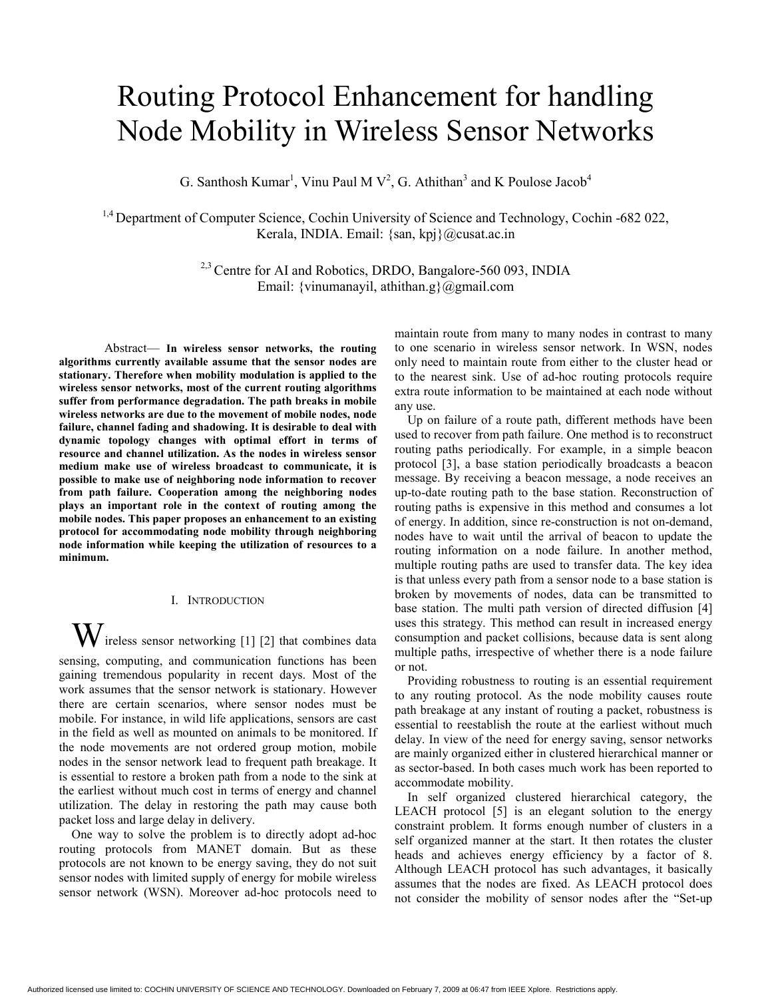# Routing Protocol Enhancement for handling Node Mobility in Wireless Sensor Networks

G. Santhosh Kumar<sup>1</sup>, Vinu Paul M  $V^2$ , G. Athithan<sup>3</sup> and K Poulose Jacob<sup>4</sup>

<sup>1,4</sup> Department of Computer Science, Cochin University of Science and Technology, Cochin -682 022, Kerala, INDIA. Email: {san, kpj}@cusat.ac.in

> <sup>2,3</sup> Centre for AI and Robotics, DRDO, Bangalore-560 093, INDIA Email: {vinumanayil, athithan.g}@gmail.com

Abstract— **In wireless sensor networks, the routing algorithms currently available assume that the sensor nodes are stationary. Therefore when mobility modulation is applied to the wireless sensor networks, most of the current routing algorithms suffer from performance degradation. The path breaks in mobile wireless networks are due to the movement of mobile nodes, node failure, channel fading and shadowing. It is desirable to deal with dynamic topology changes with optimal effort in terms of resource and channel utilization. As the nodes in wireless sensor medium make use of wireless broadcast to communicate, it is possible to make use of neighboring node information to recover from path failure. Cooperation among the neighboring nodes plays an important role in the context of routing among the mobile nodes. This paper proposes an enhancement to an existing protocol for accommodating node mobility through neighboring node information while keeping the utilization of resources to a minimum.** 

## I. INTRODUCTION

 $\mathbf W$  ireless sensor networking [1] [2] that combines data sensing, computing, and communication functions has been gaining tremendous popularity in recent days. Most of the work assumes that the sensor network is stationary. However there are certain scenarios, where sensor nodes must be mobile. For instance, in wild life applications, sensors are cast in the field as well as mounted on animals to be monitored. If the node movements are not ordered group motion, mobile nodes in the sensor network lead to frequent path breakage. It is essential to restore a broken path from a node to the sink at the earliest without much cost in terms of energy and channel utilization. The delay in restoring the path may cause both packet loss and large delay in delivery.

One way to solve the problem is to directly adopt ad-hoc routing protocols from MANET domain. But as these protocols are not known to be energy saving, they do not suit sensor nodes with limited supply of energy for mobile wireless sensor network (WSN). Moreover ad-hoc protocols need to

maintain route from many to many nodes in contrast to many to one scenario in wireless sensor network. In WSN, nodes only need to maintain route from either to the cluster head or to the nearest sink. Use of ad-hoc routing protocols require extra route information to be maintained at each node without any use.

Up on failure of a route path, different methods have been used to recover from path failure. One method is to reconstruct routing paths periodically. For example, in a simple beacon protocol [3], a base station periodically broadcasts a beacon message. By receiving a beacon message, a node receives an up-to-date routing path to the base station. Reconstruction of routing paths is expensive in this method and consumes a lot of energy. In addition, since re-construction is not on-demand, nodes have to wait until the arrival of beacon to update the routing information on a node failure. In another method, multiple routing paths are used to transfer data. The key idea is that unless every path from a sensor node to a base station is broken by movements of nodes, data can be transmitted to base station. The multi path version of directed diffusion [4] uses this strategy. This method can result in increased energy consumption and packet collisions, because data is sent along multiple paths, irrespective of whether there is a node failure or not.

Providing robustness to routing is an essential requirement to any routing protocol. As the node mobility causes route path breakage at any instant of routing a packet, robustness is essential to reestablish the route at the earliest without much delay. In view of the need for energy saving, sensor networks are mainly organized either in clustered hierarchical manner or as sector-based. In both cases much work has been reported to accommodate mobility.

In self organized clustered hierarchical category, the LEACH protocol [5] is an elegant solution to the energy constraint problem. It forms enough number of clusters in a self organized manner at the start. It then rotates the cluster heads and achieves energy efficiency by a factor of 8. Although LEACH protocol has such advantages, it basically assumes that the nodes are fixed. As LEACH protocol does not consider the mobility of sensor nodes after the "Set-up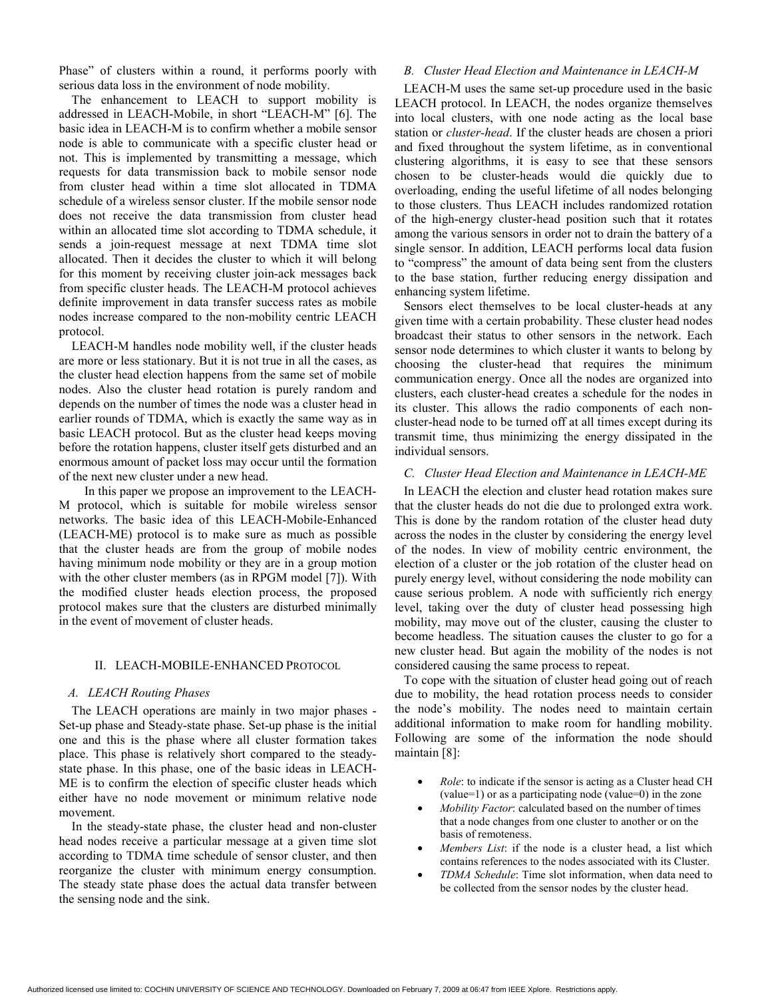Phase" of clusters within a round, it performs poorly with serious data loss in the environment of node mobility.

The enhancement to LEACH to support mobility is addressed in LEACH-Mobile, in short "LEACH-M" [6]. The basic idea in LEACH-M is to confirm whether a mobile sensor node is able to communicate with a specific cluster head or not. This is implemented by transmitting a message, which requests for data transmission back to mobile sensor node from cluster head within a time slot allocated in TDMA schedule of a wireless sensor cluster. If the mobile sensor node does not receive the data transmission from cluster head within an allocated time slot according to TDMA schedule, it sends a join-request message at next TDMA time slot allocated. Then it decides the cluster to which it will belong for this moment by receiving cluster join-ack messages back from specific cluster heads. The LEACH-M protocol achieves definite improvement in data transfer success rates as mobile nodes increase compared to the non-mobility centric LEACH protocol.

LEACH-M handles node mobility well, if the cluster heads are more or less stationary. But it is not true in all the cases, as the cluster head election happens from the same set of mobile nodes. Also the cluster head rotation is purely random and depends on the number of times the node was a cluster head in earlier rounds of TDMA, which is exactly the same way as in basic LEACH protocol. But as the cluster head keeps moving before the rotation happens, cluster itself gets disturbed and an enormous amount of packet loss may occur until the formation of the next new cluster under a new head.

 In this paper we propose an improvement to the LEACH-M protocol, which is suitable for mobile wireless sensor networks. The basic idea of this LEACH-Mobile-Enhanced (LEACH-ME) protocol is to make sure as much as possible that the cluster heads are from the group of mobile nodes having minimum node mobility or they are in a group motion with the other cluster members (as in RPGM model [7]). With the modified cluster heads election process, the proposed protocol makes sure that the clusters are disturbed minimally in the event of movement of cluster heads.

#### II. LEACH-MOBILE-ENHANCED PROTOCOL

#### *A. LEACH Routing Phases*

The LEACH operations are mainly in two major phases - Set-up phase and Steady-state phase. Set-up phase is the initial one and this is the phase where all cluster formation takes place. This phase is relatively short compared to the steadystate phase. In this phase, one of the basic ideas in LEACH-ME is to confirm the election of specific cluster heads which either have no node movement or minimum relative node movement.

In the steady-state phase, the cluster head and non-cluster head nodes receive a particular message at a given time slot according to TDMA time schedule of sensor cluster, and then reorganize the cluster with minimum energy consumption. The steady state phase does the actual data transfer between the sensing node and the sink.

## *B. Cluster Head Election and Maintenance in LEACH-M*

LEACH-M uses the same set-up procedure used in the basic LEACH protocol. In LEACH, the nodes organize themselves into local clusters, with one node acting as the local base station or *cluster-head*. If the cluster heads are chosen a priori and fixed throughout the system lifetime, as in conventional clustering algorithms, it is easy to see that these sensors chosen to be cluster-heads would die quickly due to overloading, ending the useful lifetime of all nodes belonging to those clusters. Thus LEACH includes randomized rotation of the high-energy cluster-head position such that it rotates among the various sensors in order not to drain the battery of a single sensor. In addition, LEACH performs local data fusion to "compress" the amount of data being sent from the clusters to the base station, further reducing energy dissipation and enhancing system lifetime.

Sensors elect themselves to be local cluster-heads at any given time with a certain probability. These cluster head nodes broadcast their status to other sensors in the network. Each sensor node determines to which cluster it wants to belong by choosing the cluster-head that requires the minimum communication energy. Once all the nodes are organized into clusters, each cluster-head creates a schedule for the nodes in its cluster. This allows the radio components of each noncluster-head node to be turned off at all times except during its transmit time, thus minimizing the energy dissipated in the individual sensors.

#### *C. Cluster Head Election and Maintenance in LEACH-ME*

In LEACH the election and cluster head rotation makes sure that the cluster heads do not die due to prolonged extra work. This is done by the random rotation of the cluster head duty across the nodes in the cluster by considering the energy level of the nodes. In view of mobility centric environment, the election of a cluster or the job rotation of the cluster head on purely energy level, without considering the node mobility can cause serious problem. A node with sufficiently rich energy level, taking over the duty of cluster head possessing high mobility, may move out of the cluster, causing the cluster to become headless. The situation causes the cluster to go for a new cluster head. But again the mobility of the nodes is not considered causing the same process to repeat.

To cope with the situation of cluster head going out of reach due to mobility, the head rotation process needs to consider the node's mobility. The nodes need to maintain certain additional information to make room for handling mobility. Following are some of the information the node should maintain [8]:

- *Role*: to indicate if the sensor is acting as a Cluster head CH (value=1) or as a participating node (value=0) in the zone
- *Mobility Factor*: calculated based on the number of times that a node changes from one cluster to another or on the basis of remoteness.
- *Members List*: if the node is a cluster head, a list which contains references to the nodes associated with its Cluster.
- *TDMA Schedule*: Time slot information, when data need to be collected from the sensor nodes by the cluster head.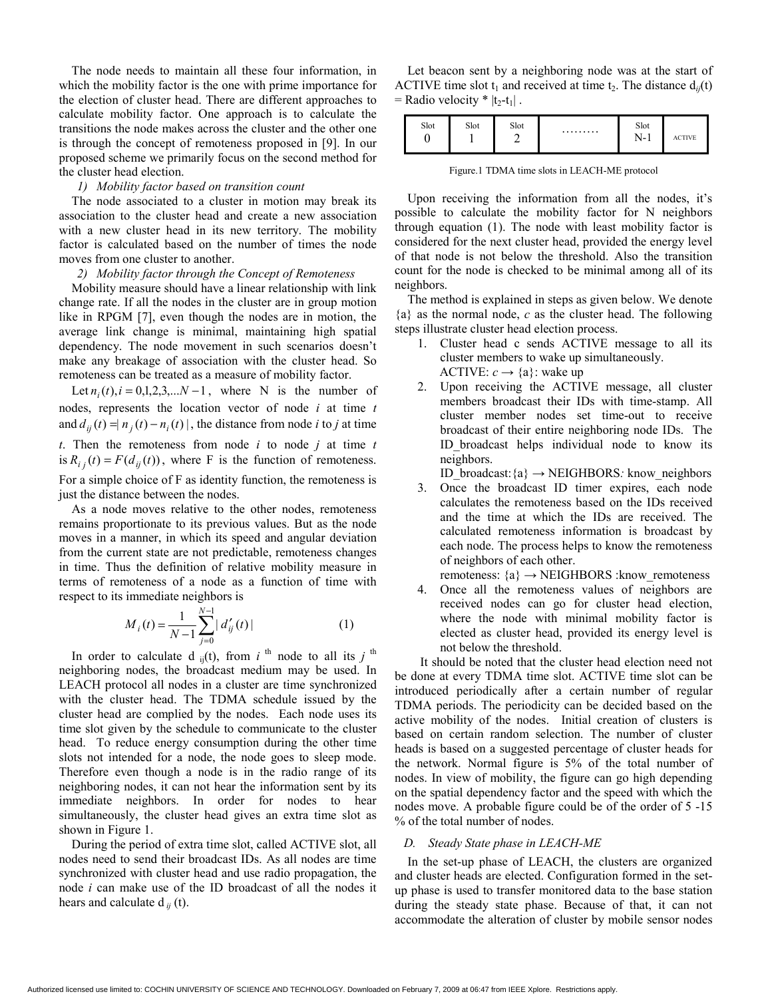The node needs to maintain all these four information, in which the mobility factor is the one with prime importance for the election of cluster head. There are different approaches to calculate mobility factor. One approach is to calculate the transitions the node makes across the cluster and the other one is through the concept of remoteness proposed in [9]. In our proposed scheme we primarily focus on the second method for the cluster head election.

#### *1) Mobility factor based on transition count*

The node associated to a cluster in motion may break its association to the cluster head and create a new association with a new cluster head in its new territory. The mobility factor is calculated based on the number of times the node moves from one cluster to another.

#### *2) Mobility factor through the Concept of Remoteness*

Mobility measure should have a linear relationship with link change rate. If all the nodes in the cluster are in group motion like in RPGM [7], even though the nodes are in motion, the average link change is minimal, maintaining high spatial dependency. The node movement in such scenarios doesn't make any breakage of association with the cluster head. So remoteness can be treated as a measure of mobility factor.

Let  $n_i(t)$ ,  $i = 0,1,2,3,...N-1$ , where N is the number of nodes, represents the location vector of node *i* at time *t* and  $d_{ii}(t) = |n_{i}(t) - n_{i}(t)|$ , the distance from node *i* to *j* at time

*t*. Then the remoteness from node *i* to node *j* at time *t* is  $R_{i}$  (*t*) =  $F(d_{ii}(t))$ , where F is the function of remoteness. For a simple choice of F as identity function, the remoteness is just the distance between the nodes.

As a node moves relative to the other nodes, remoteness remains proportionate to its previous values. But as the node moves in a manner, in which its speed and angular deviation from the current state are not predictable, remoteness changes in time. Thus the definition of relative mobility measure in terms of remoteness of a node as a function of time with respect to its immediate neighbors is

$$
M_i(t) = \frac{1}{N-1} \sum_{j=0}^{N-1} |d'_{ij}(t)|
$$
 (1)

In order to calculate d  $_{ij}(t)$ , from *i*<sup>th</sup> node to all its *j*<sup>th</sup> neighboring nodes, the broadcast medium may be used. In LEACH protocol all nodes in a cluster are time synchronized with the cluster head. The TDMA schedule issued by the cluster head are complied by the nodes. Each node uses its time slot given by the schedule to communicate to the cluster head. To reduce energy consumption during the other time slots not intended for a node, the node goes to sleep mode. Therefore even though a node is in the radio range of its neighboring nodes, it can not hear the information sent by its immediate neighbors. In order for nodes to hear simultaneously, the cluster head gives an extra time slot as shown in Figure 1.

During the period of extra time slot, called ACTIVE slot, all nodes need to send their broadcast IDs. As all nodes are time synchronized with cluster head and use radio propagation, the node *i* can make use of the ID broadcast of all the nodes it hears and calculate  $d_{ii}$  (t).

Let beacon sent by a neighboring node was at the start of ACTIVE time slot  $t_1$  and received at time  $t_2$ . The distance  $d_{ii}(t)$ = Radio velocity  $*$   $|t_2-t_1|$ .

| Slot | Slot | Slot<br>- | . | Slot<br>N-1 | <b>ACTIVE</b> |
|------|------|-----------|---|-------------|---------------|
|------|------|-----------|---|-------------|---------------|

Figure.1 TDMA time slots in LEACH-ME protocol

Upon receiving the information from all the nodes, it's possible to calculate the mobility factor for N neighbors through equation (1). The node with least mobility factor is considered for the next cluster head, provided the energy level of that node is not below the threshold. Also the transition count for the node is checked to be minimal among all of its neighbors.

The method is explained in steps as given below. We denote  ${a}$  as the normal node, c as the cluster head. The following steps illustrate cluster head election process.

- 1. Cluster head c sends ACTIVE message to all its cluster members to wake up simultaneously. ACTIVE:  $c \rightarrow \{a\}$ : wake up
- 2. Upon receiving the ACTIVE message, all cluster members broadcast their IDs with time-stamp. All cluster member nodes set time-out to receive broadcast of their entire neighboring node IDs. The ID\_broadcast helps individual node to know its neighbors.

ID\_broadcast:{a} *→* NEIGHBORS*:* know\_neighbors

3. Once the broadcast ID timer expires, each node calculates the remoteness based on the IDs received and the time at which the IDs are received. The calculated remoteness information is broadcast by each node. The process helps to know the remoteness of neighbors of each other.

remoteness:  ${a} \rightarrow NEIGHBORS$  :know remoteness

4. Once all the remoteness values of neighbors are received nodes can go for cluster head election, where the node with minimal mobility factor is elected as cluster head, provided its energy level is not below the threshold.

 It should be noted that the cluster head election need not be done at every TDMA time slot. ACTIVE time slot can be introduced periodically after a certain number of regular TDMA periods. The periodicity can be decided based on the active mobility of the nodes. Initial creation of clusters is based on certain random selection. The number of cluster heads is based on a suggested percentage of cluster heads for the network. Normal figure is 5% of the total number of nodes. In view of mobility, the figure can go high depending on the spatial dependency factor and the speed with which the nodes move. A probable figure could be of the order of 5 -15 % of the total number of nodes.

#### *D. Steady State phase in LEACH-ME*

In the set-up phase of LEACH, the clusters are organized and cluster heads are elected. Configuration formed in the setup phase is used to transfer monitored data to the base station during the steady state phase. Because of that, it can not accommodate the alteration of cluster by mobile sensor nodes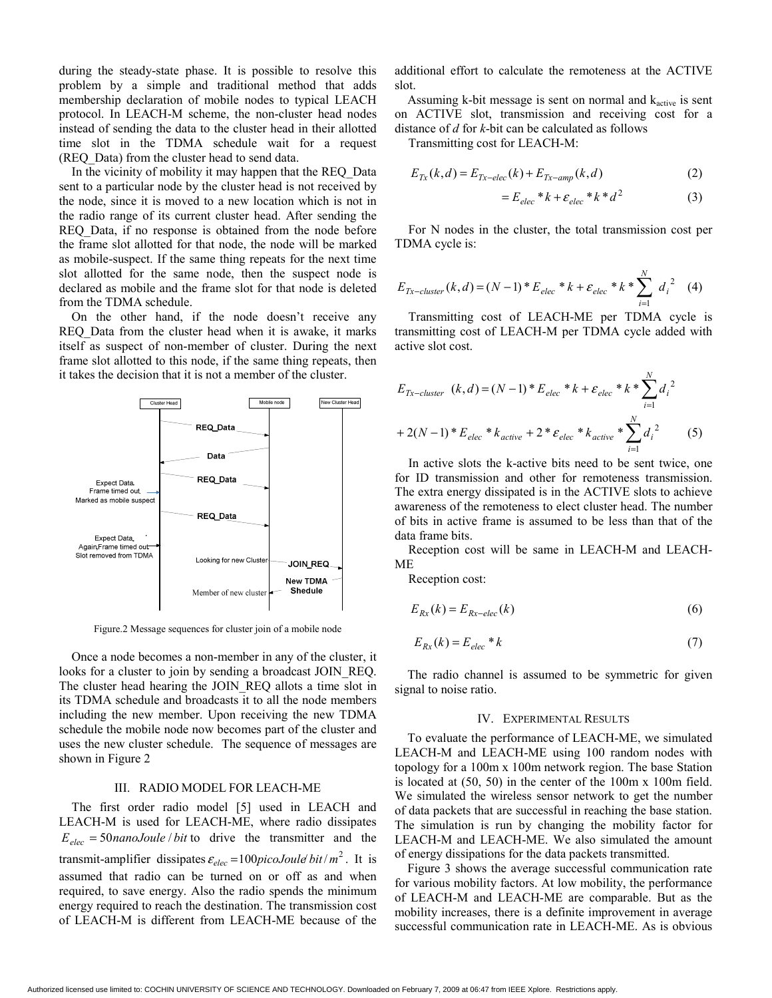during the steady-state phase. It is possible to resolve this problem by a simple and traditional method that adds membership declaration of mobile nodes to typical LEACH protocol. In LEACH-M scheme, the non-cluster head nodes instead of sending the data to the cluster head in their allotted time slot in the TDMA schedule wait for a request (REQ\_Data) from the cluster head to send data.

 In the vicinity of mobility it may happen that the REQ\_Data sent to a particular node by the cluster head is not received by the node, since it is moved to a new location which is not in the radio range of its current cluster head. After sending the REQ\_Data, if no response is obtained from the node before the frame slot allotted for that node, the node will be marked as mobile-suspect. If the same thing repeats for the next time slot allotted for the same node, then the suspect node is declared as mobile and the frame slot for that node is deleted from the TDMA schedule.

 On the other hand, if the node doesn't receive any REQ\_Data from the cluster head when it is awake, it marks itself as suspect of non-member of cluster. During the next frame slot allotted to this node, if the same thing repeats, then it takes the decision that it is not a member of the cluster.



Figure.2 Message sequences for cluster join of a mobile node

Once a node becomes a non-member in any of the cluster, it looks for a cluster to join by sending a broadcast JOIN\_REQ. The cluster head hearing the JOIN\_REQ allots a time slot in its TDMA schedule and broadcasts it to all the node members including the new member. Upon receiving the new TDMA schedule the mobile node now becomes part of the cluster and uses the new cluster schedule. The sequence of messages are shown in Figure 2

## III. RADIO MODEL FOR LEACH-ME

The first order radio model [5] used in LEACH and LEACH-M is used for LEACH-ME, where radio dissipates  $E_{elec} = 50$ *nanoJoule* / bit to drive the transmitter and the transmit-amplifier dissipates  $\varepsilon_{elec} = 100picoJoule/ bit/m^2$ . It is assumed that radio can be turned on or off as and when required, to save energy. Also the radio spends the minimum energy required to reach the destination. The transmission cost of LEACH-M is different from LEACH-ME because of the

additional effort to calculate the remoteness at the ACTIVE slot.

Assuming k-bit message is sent on normal and  $k_{\text{active}}$  is sent on ACTIVE slot, transmission and receiving cost for a distance of *d* for *k*-bit can be calculated as follows

Transmitting cost for LEACH-M:

$$
E_{Tx}(k,d) = E_{Tx-elec}(k) + E_{Tx-amp}(k,d)
$$
 (2)

$$
= E_{elec} * k + \varepsilon_{elec} * k * d^2 \tag{3}
$$

For N nodes in the cluster, the total transmission cost per TDMA cycle is:

$$
E_{Tx-cluster}(k, d) = (N - 1) * E_{elec} * k + \varepsilon_{elec} * k * \sum_{i=1}^{N} d_i^2
$$
 (4)

Transmitting cost of LEACH-ME per TDMA cycle is transmitting cost of LEACH-M per TDMA cycle added with active slot cost.

$$
E_{Tx-cluster} (k, d) = (N - 1) * E_{elec} * k + \varepsilon_{elec} * k * \sum_{i=1}^{N} d_i^2
$$
  
+ 2(N - 1) \* E\_{elec} \* k\_{active} + 2 \* \varepsilon\_{elec} \* k\_{active} \* \sum\_{i=1}^{N} d\_i^2 (5)

In active slots the k-active bits need to be sent twice, one for ID transmission and other for remoteness transmission. The extra energy dissipated is in the ACTIVE slots to achieve awareness of the remoteness to elect cluster head. The number of bits in active frame is assumed to be less than that of the data frame bits.

Reception cost will be same in LEACH-M and LEACH-ME

Reception cost:

$$
E_{Rx}(k) = E_{Rx-elec}(k)
$$
\n<sup>(6)</sup>

$$
E_{Rx}(k) = E_{elec} * k \tag{7}
$$

The radio channel is assumed to be symmetric for given signal to noise ratio.

#### IV. EXPERIMENTAL RESULTS

To evaluate the performance of LEACH-ME, we simulated LEACH-M and LEACH-ME using 100 random nodes with topology for a 100m x 100m network region. The base Station is located at (50, 50) in the center of the 100m x 100m field. We simulated the wireless sensor network to get the number of data packets that are successful in reaching the base station. The simulation is run by changing the mobility factor for LEACH-M and LEACH-ME. We also simulated the amount of energy dissipations for the data packets transmitted.

Figure 3 shows the average successful communication rate for various mobility factors. At low mobility, the performance of LEACH-M and LEACH-ME are comparable. But as the mobility increases, there is a definite improvement in average successful communication rate in LEACH-ME. As is obvious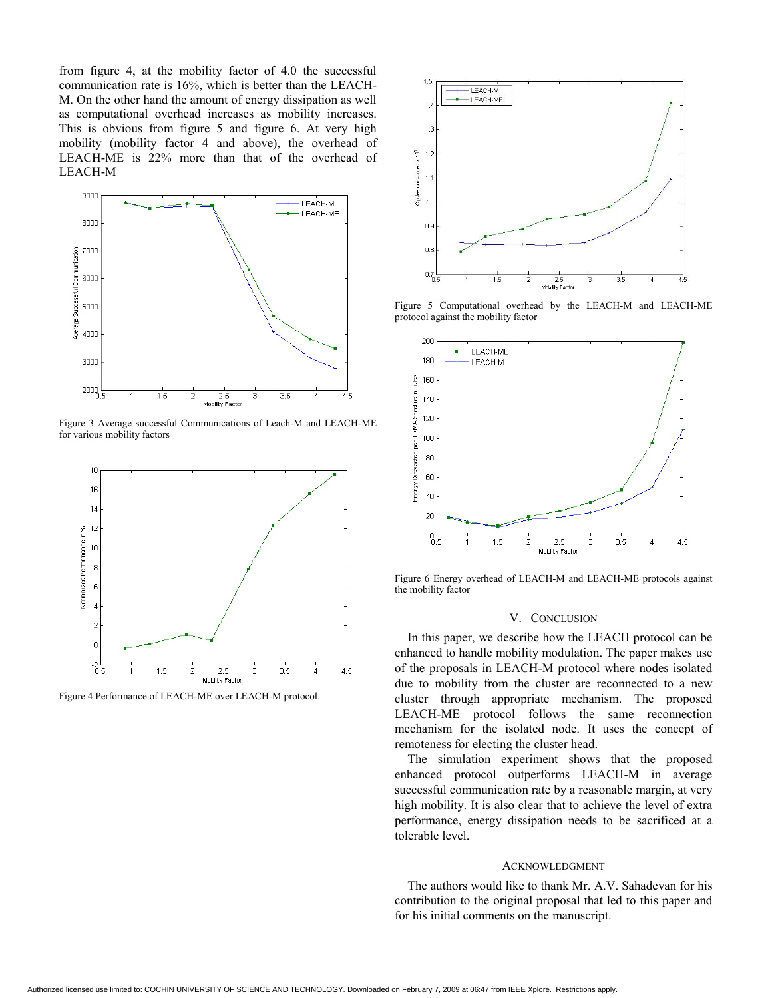from figure 4, at the mobility factor of 4.0 the successful communication rate is 16%, which is better than the LEACH-M. On the other hand the amount of energy dissipation as well as computational overhead increases as mobility increases. This is obvious from figure 5 and figure 6. At very high mobility (mobility factor 4 and above), the overhead of LEACH-ME is 22% more than that of the overhead of LEACH-M



Figure 3 Average successful Communications of Leach-M and LEACH-ME for various mobility factors



Figure 4 Performance of LEACH-ME over LEACH-M protocol.



Figure 5 Computational overhead by the LEACH-M and LEACH-ME protocol against the mobility factor



Figure 6 Energy overhead of LEACH-M and LEACH-ME protocols against the mobility factor

#### V. CONCLUSION

In this paper, we describe how the LEACH protocol can be enhanced to handle mobility modulation. The paper makes use of the proposals in LEACH-M protocol where nodes isolated due to mobility from the cluster are reconnected to a new cluster through appropriate mechanism. The proposed LEACH-ME protocol follows the same reconnection mechanism for the isolated node. It uses the concept of remoteness for electing the cluster head.

The simulation experiment shows that the proposed enhanced protocol outperforms LEACH-M in average successful communication rate by a reasonable margin, at very high mobility. It is also clear that to achieve the level of extra performance, energy dissipation needs to be sacrificed at a tolerable level.

# ACKNOWLEDGMENT

The authors would like to thank Mr. A.V. Sahadevan for his contribution to the original proposal that led to this paper and for his initial comments on the manuscript.